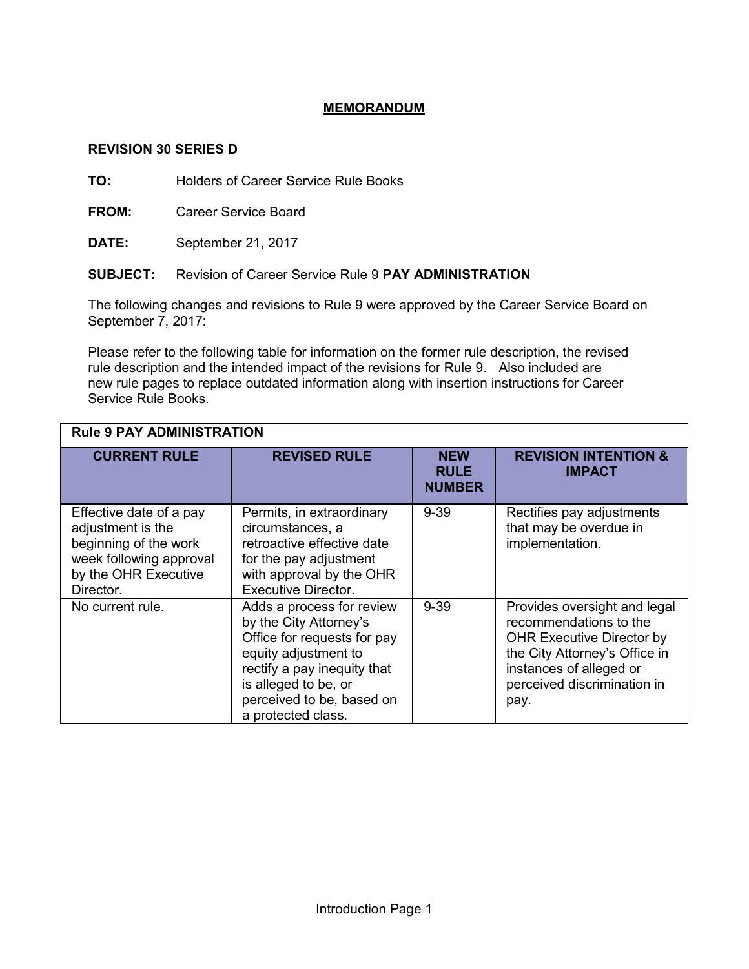# **MEMORANDUM**

# **REVISION 30 SERIES D**

**TO:** Holders of Career Service Rule Books

**FROM:** Career Service Board

**DATE:** September 21, 2017

# **SUBJECT:** Revision of Career Service Rule 9 **PAY ADMINISTRATION**

The following changes and revisions to Rule 9 were approved by the Career Service Board on September 7, 2017:

Please refer to the following table for information on the former rule description, the revised rule description and the intended impact of the revisions for Rule 9. Also included are new rule pages to replace outdated information along with insertion instructions for Career Service Rule Books.

| <b>Rule 9 PAY ADMINISTRATION</b>                                                                                                      |                                                                                                                                                                                                                      |                                            |                                                                                                                                                                                               |
|---------------------------------------------------------------------------------------------------------------------------------------|----------------------------------------------------------------------------------------------------------------------------------------------------------------------------------------------------------------------|--------------------------------------------|-----------------------------------------------------------------------------------------------------------------------------------------------------------------------------------------------|
| <b>CURRENT RULE</b>                                                                                                                   | <b>REVISED RULE</b>                                                                                                                                                                                                  | <b>NEW</b><br><b>RULE</b><br><b>NUMBER</b> | <b>REVISION INTENTION &amp;</b><br><b>IMPACT</b>                                                                                                                                              |
| Effective date of a pay<br>adjustment is the<br>beginning of the work<br>week following approval<br>by the OHR Executive<br>Director. | Permits, in extraordinary<br>circumstances, a<br>retroactive effective date<br>for the pay adjustment<br>with approval by the OHR<br><b>Executive Director.</b>                                                      | $9 - 39$                                   | Rectifies pay adjustments<br>that may be overdue in<br>implementation.                                                                                                                        |
| No current rule.                                                                                                                      | Adds a process for review<br>by the City Attorney's<br>Office for requests for pay<br>equity adjustment to<br>rectify a pay inequity that<br>is alleged to be, or<br>perceived to be, based on<br>a protected class. | $9 - 39$                                   | Provides oversight and legal<br>recommendations to the<br><b>OHR Executive Director by</b><br>the City Attorney's Office in<br>instances of alleged or<br>perceived discrimination in<br>pay. |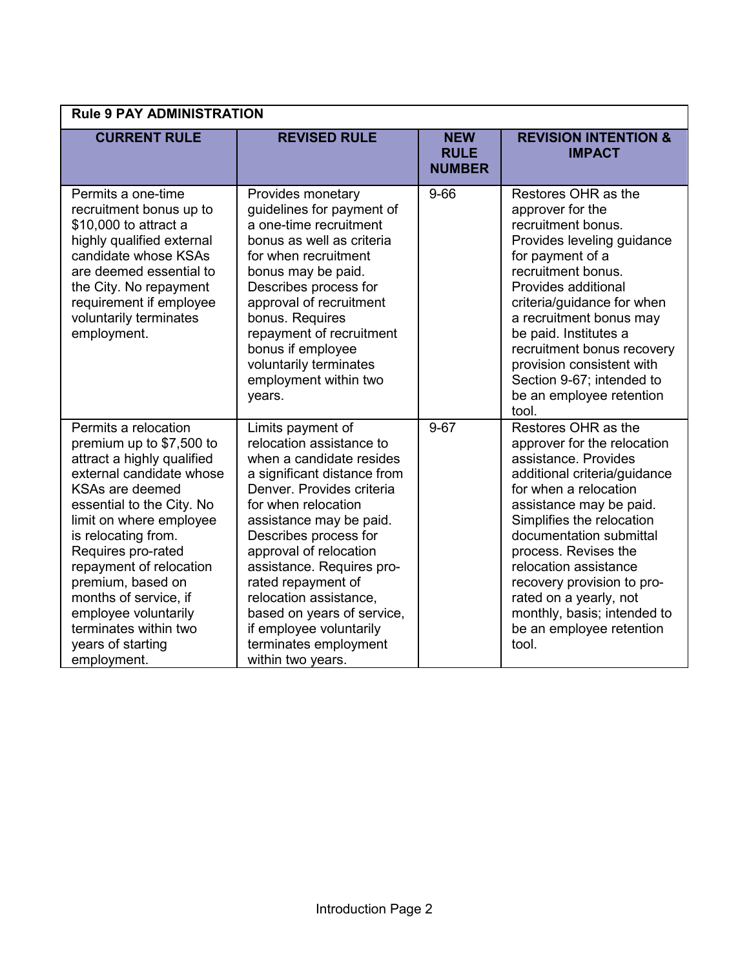| <b>Rule 9 PAY ADMINISTRATION</b>                                                                                                                                                                                                                                                                                                                                                                 |                                                                                                                                                                                                                                                                                                                                                                                                                                |                                            |                                                                                                                                                                                                                                                                                                                                                                                                     |
|--------------------------------------------------------------------------------------------------------------------------------------------------------------------------------------------------------------------------------------------------------------------------------------------------------------------------------------------------------------------------------------------------|--------------------------------------------------------------------------------------------------------------------------------------------------------------------------------------------------------------------------------------------------------------------------------------------------------------------------------------------------------------------------------------------------------------------------------|--------------------------------------------|-----------------------------------------------------------------------------------------------------------------------------------------------------------------------------------------------------------------------------------------------------------------------------------------------------------------------------------------------------------------------------------------------------|
| <b>CURRENT RULE</b>                                                                                                                                                                                                                                                                                                                                                                              | <b>REVISED RULE</b>                                                                                                                                                                                                                                                                                                                                                                                                            | <b>NEW</b><br><b>RULE</b><br><b>NUMBER</b> | <b>REVISION INTENTION &amp;</b><br><b>IMPACT</b>                                                                                                                                                                                                                                                                                                                                                    |
| Permits a one-time<br>recruitment bonus up to<br>\$10,000 to attract a<br>highly qualified external<br>candidate whose KSAs<br>are deemed essential to<br>the City. No repayment<br>requirement if employee<br>voluntarily terminates<br>employment.                                                                                                                                             | Provides monetary<br>guidelines for payment of<br>a one-time recruitment<br>bonus as well as criteria<br>for when recruitment<br>bonus may be paid.<br>Describes process for<br>approval of recruitment<br>bonus. Requires<br>repayment of recruitment<br>bonus if employee<br>voluntarily terminates<br>employment within two<br>years.                                                                                       | $9 - 66$                                   | Restores OHR as the<br>approver for the<br>recruitment bonus.<br>Provides leveling guidance<br>for payment of a<br>recruitment bonus.<br>Provides additional<br>criteria/guidance for when<br>a recruitment bonus may<br>be paid. Institutes a<br>recruitment bonus recovery<br>provision consistent with<br>Section 9-67; intended to<br>be an employee retention<br>tool.                         |
| Permits a relocation<br>premium up to \$7,500 to<br>attract a highly qualified<br>external candidate whose<br>KSAs are deemed<br>essential to the City. No<br>limit on where employee<br>is relocating from.<br>Requires pro-rated<br>repayment of relocation<br>premium, based on<br>months of service, if<br>employee voluntarily<br>terminates within two<br>years of starting<br>employment. | Limits payment of<br>relocation assistance to<br>when a candidate resides<br>a significant distance from<br>Denver, Provides criteria<br>for when relocation<br>assistance may be paid.<br>Describes process for<br>approval of relocation<br>assistance. Requires pro-<br>rated repayment of<br>relocation assistance,<br>based on years of service,<br>if employee voluntarily<br>terminates employment<br>within two years. | $9 - 67$                                   | Restores OHR as the<br>approver for the relocation<br>assistance. Provides<br>additional criteria/guidance<br>for when a relocation<br>assistance may be paid.<br>Simplifies the relocation<br>documentation submittal<br>process. Revises the<br>relocation assistance<br>recovery provision to pro-<br>rated on a yearly, not<br>monthly, basis; intended to<br>be an employee retention<br>tool. |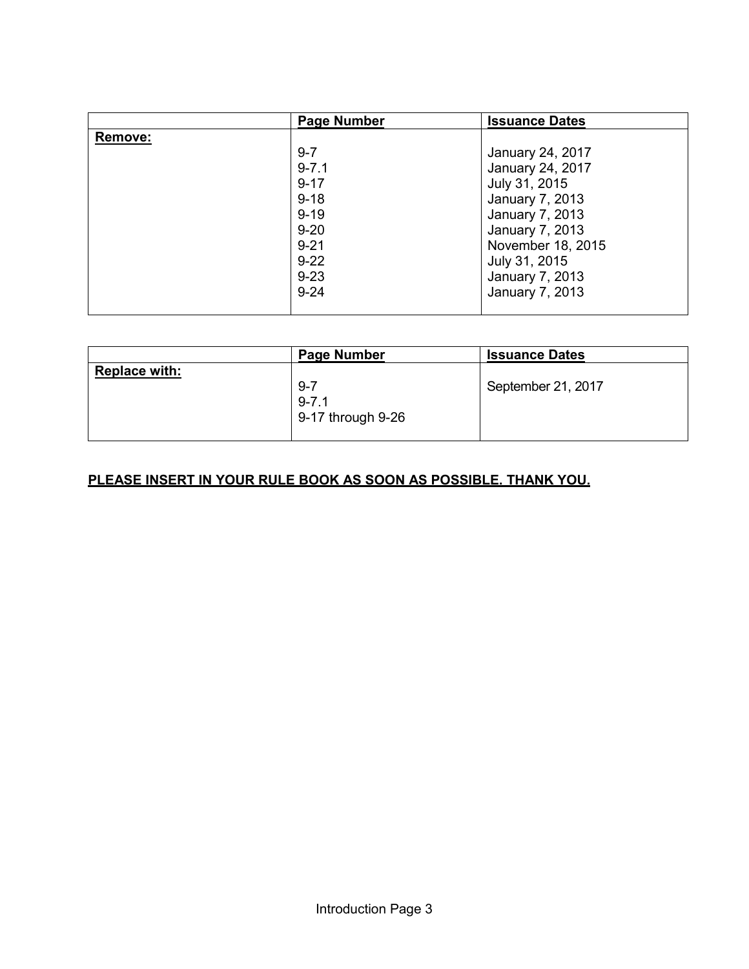|                | <b>Page Number</b> | <b>Issuance Dates</b> |
|----------------|--------------------|-----------------------|
| <b>Remove:</b> |                    |                       |
|                | $9 - 7$            | January 24, 2017      |
|                | $9 - 7.1$          | January 24, 2017      |
|                | $9 - 17$           | July 31, 2015         |
|                | $9 - 18$           | January 7, 2013       |
|                | $9 - 19$           | January 7, 2013       |
|                | $9 - 20$           | January 7, 2013       |
|                | $9 - 21$           | November 18, 2015     |
|                | $9 - 22$           | July 31, 2015         |
|                | $9 - 23$           | January 7, 2013       |
|                | $9 - 24$           | January 7, 2013       |
|                |                    |                       |

|                      | <b>Page Number</b>                            | <b>Issuance Dates</b> |
|----------------------|-----------------------------------------------|-----------------------|
| <b>Replace with:</b> | $9 - 7$<br>$9 - 7.1$<br>$9-17$ through $9-26$ | September 21, 2017    |

# **PLEASE INSERT IN YOUR RULE BOOK AS SOON AS POSSIBLE. THANK YOU.**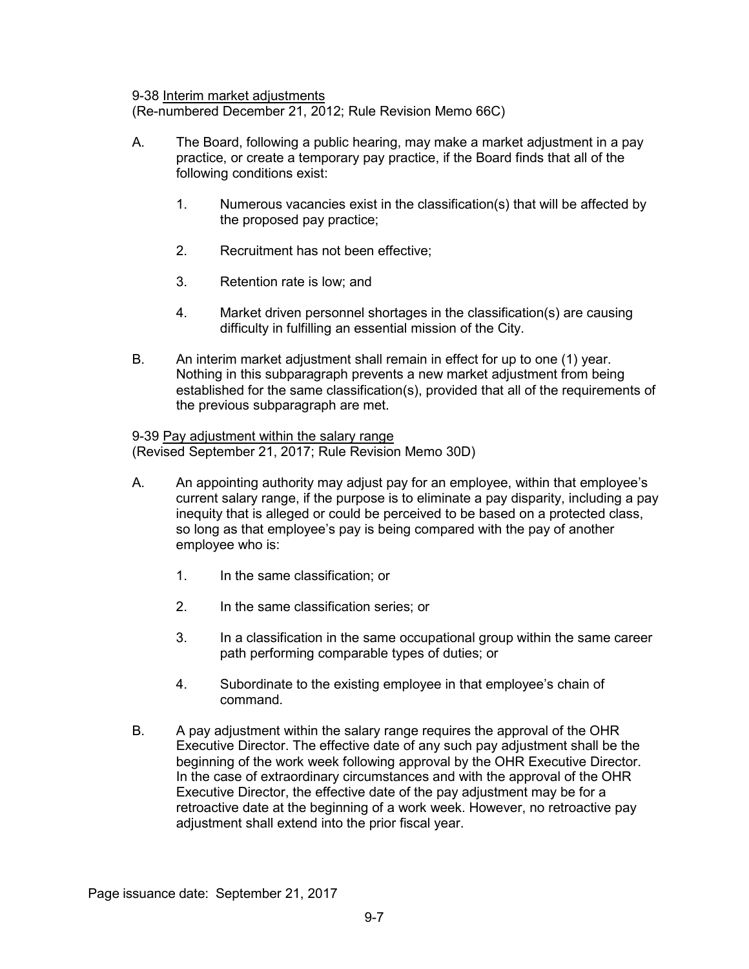#### 9-38 Interim market adjustments

(Re-numbered December 21, 2012; Rule Revision Memo 66C)

- A. The Board, following a public hearing, may make a market adjustment in a pay practice, or create a temporary pay practice, if the Board finds that all of the following conditions exist:
	- 1. Numerous vacancies exist in the classification(s) that will be affected by the proposed pay practice;
	- 2. Recruitment has not been effective;
	- 3. Retention rate is low; and
	- 4. Market driven personnel shortages in the classification(s) are causing difficulty in fulfilling an essential mission of the City.
- B. An interim market adjustment shall remain in effect for up to one (1) year. Nothing in this subparagraph prevents a new market adjustment from being established for the same classification(s), provided that all of the requirements of the previous subparagraph are met.

9-39 Pay adjustment within the salary range (Revised September 21, 2017; Rule Revision Memo 30D)

- A. An appointing authority may adjust pay for an employee, within that employee's current salary range, if the purpose is to eliminate a pay disparity, including a pay inequity that is alleged or could be perceived to be based on a protected class, so long as that employee's pay is being compared with the pay of another employee who is:
	- 1. In the same classification; or
	- 2. In the same classification series; or
	- 3. In a classification in the same occupational group within the same career path performing comparable types of duties; or
	- 4. Subordinate to the existing employee in that employee's chain of command.
- B. A pay adjustment within the salary range requires the approval of the OHR Executive Director. The effective date of any such pay adjustment shall be the beginning of the work week following approval by the OHR Executive Director. In the case of extraordinary circumstances and with the approval of the OHR Executive Director, the effective date of the pay adjustment may be for a retroactive date at the beginning of a work week. However, no retroactive pay adjustment shall extend into the prior fiscal year.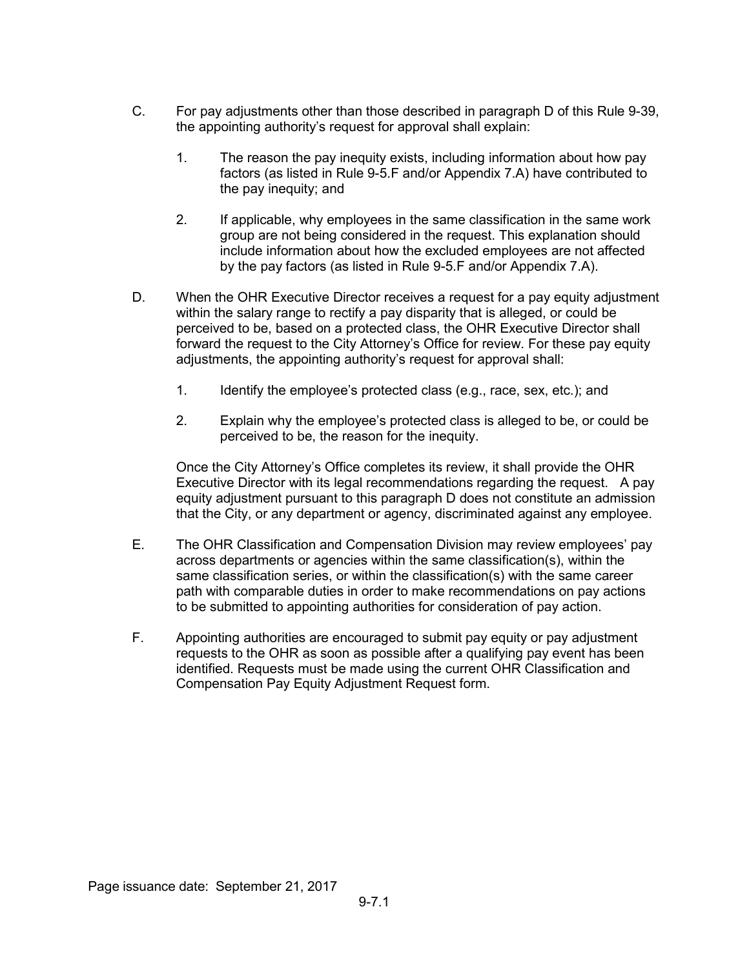- C. For pay adjustments other than those described in paragraph D of this Rule 9-39, the appointing authority's request for approval shall explain:
	- 1. The reason the pay inequity exists, including information about how pay factors (as listed in Rule 9-5.F and/or Appendix 7.A) have contributed to the pay inequity; and
	- 2. If applicable, why employees in the same classification in the same work group are not being considered in the request. This explanation should include information about how the excluded employees are not affected by the pay factors (as listed in Rule 9-5.F and/or Appendix 7.A).
- D. When the OHR Executive Director receives a request for a pay equity adjustment within the salary range to rectify a pay disparity that is alleged, or could be perceived to be, based on a protected class, the OHR Executive Director shall forward the request to the City Attorney's Office for review. For these pay equity adjustments, the appointing authority's request for approval shall:
	- 1. Identify the employee's protected class (e.g., race, sex, etc.); and
	- 2. Explain why the employee's protected class is alleged to be, or could be perceived to be, the reason for the inequity.

Once the City Attorney's Office completes its review, it shall provide the OHR Executive Director with its legal recommendations regarding the request. A pay equity adjustment pursuant to this paragraph D does not constitute an admission that the City, or any department or agency, discriminated against any employee.

- E. The OHR Classification and Compensation Division may review employees' pay across departments or agencies within the same classification(s), within the same classification series, or within the classification(s) with the same career path with comparable duties in order to make recommendations on pay actions to be submitted to appointing authorities for consideration of pay action.
- F. Appointing authorities are encouraged to submit pay equity or pay adjustment requests to the OHR as soon as possible after a qualifying pay event has been identified. Requests must be made using the current OHR Classification and Compensation Pay Equity Adjustment Request form.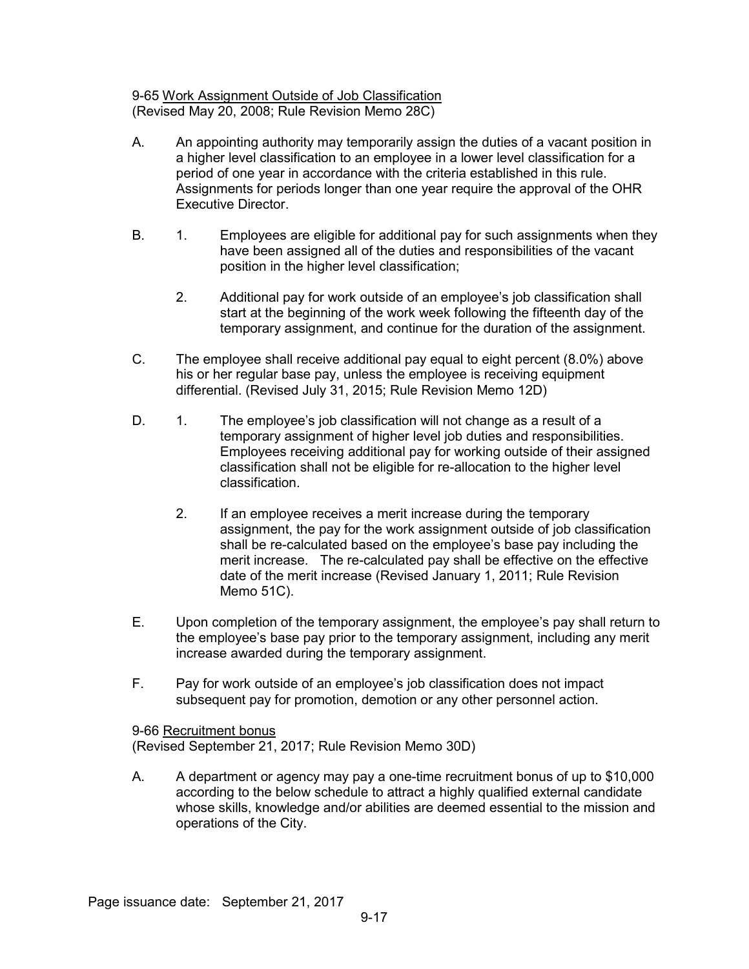9-65 Work Assignment Outside of Job Classification (Revised May 20, 2008; Rule Revision Memo 28C)

- A. An appointing authority may temporarily assign the duties of a vacant position in a higher level classification to an employee in a lower level classification for a period of one year in accordance with the criteria established in this rule. Assignments for periods longer than one year require the approval of the OHR Executive Director.
- B. 1. Employees are eligible for additional pay for such assignments when they have been assigned all of the duties and responsibilities of the vacant position in the higher level classification;
	- 2. Additional pay for work outside of an employee's job classification shall start at the beginning of the work week following the fifteenth day of the temporary assignment, and continue for the duration of the assignment.
- C. The employee shall receive additional pay equal to eight percent (8.0%) above his or her regular base pay, unless the employee is receiving equipment differential. (Revised July 31, 2015; Rule Revision Memo 12D)
- D. 1. The employee's job classification will not change as a result of a temporary assignment of higher level job duties and responsibilities. Employees receiving additional pay for working outside of their assigned classification shall not be eligible for re-allocation to the higher level classification.
	- 2. If an employee receives a merit increase during the temporary assignment, the pay for the work assignment outside of job classification shall be re-calculated based on the employee's base pay including the merit increase. The re-calculated pay shall be effective on the effective date of the merit increase (Revised January 1, 2011; Rule Revision Memo 51C).
- E. Upon completion of the temporary assignment, the employee's pay shall return to the employee's base pay prior to the temporary assignment, including any merit increase awarded during the temporary assignment.
- F. Pay for work outside of an employee's job classification does not impact subsequent pay for promotion, demotion or any other personnel action.

9-66 Recruitment bonus (Revised September 21, 2017; Rule Revision Memo 30D)

A. A department or agency may pay a one-time recruitment bonus of up to \$10,000 according to the below schedule to attract a highly qualified external candidate whose skills, knowledge and/or abilities are deemed essential to the mission and operations of the City.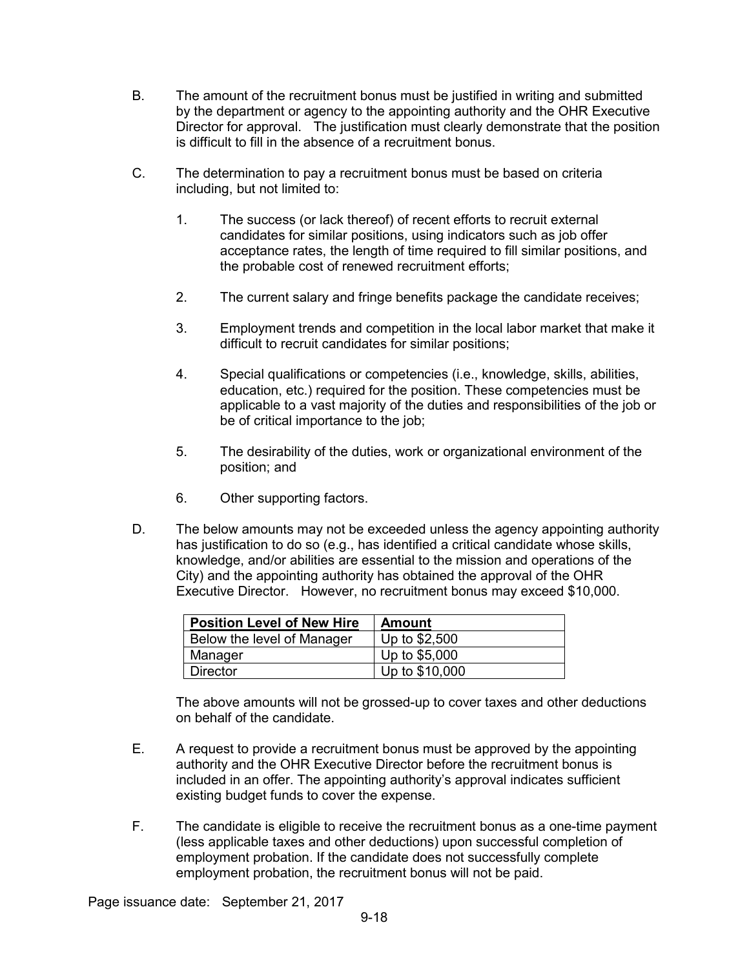- B. The amount of the recruitment bonus must be justified in writing and submitted by the department or agency to the appointing authority and the OHR Executive Director for approval. The justification must clearly demonstrate that the position is difficult to fill in the absence of a recruitment bonus.
- C. The determination to pay a recruitment bonus must be based on criteria including, but not limited to:
	- 1. The success (or lack thereof) of recent efforts to recruit external candidates for similar positions, using indicators such as job offer acceptance rates, the length of time required to fill similar positions, and the probable cost of renewed recruitment efforts;
	- 2. The current salary and fringe benefits package the candidate receives;
	- 3. Employment trends and competition in the local labor market that make it difficult to recruit candidates for similar positions;
	- 4. Special qualifications or competencies (i.e., knowledge, skills, abilities, education, etc.) required for the position. These competencies must be applicable to a vast majority of the duties and responsibilities of the job or be of critical importance to the job;
	- 5. The desirability of the duties, work or organizational environment of the position; and
	- 6. Other supporting factors.
- D. The below amounts may not be exceeded unless the agency appointing authority has justification to do so (e.g., has identified a critical candidate whose skills, knowledge, and/or abilities are essential to the mission and operations of the City) and the appointing authority has obtained the approval of the OHR Executive Director. However, no recruitment bonus may exceed \$10,000.

| <b>Position Level of New Hire</b> | Amount         |
|-----------------------------------|----------------|
| Below the level of Manager        | Up to \$2,500  |
| Manager                           | Up to \$5,000  |
| <b>Director</b>                   | Up to \$10,000 |

The above amounts will not be grossed-up to cover taxes and other deductions on behalf of the candidate.

- E. A request to provide a recruitment bonus must be approved by the appointing authority and the OHR Executive Director before the recruitment bonus is included in an offer. The appointing authority's approval indicates sufficient existing budget funds to cover the expense.
- F. The candidate is eligible to receive the recruitment bonus as a one-time payment (less applicable taxes and other deductions) upon successful completion of employment probation. If the candidate does not successfully complete employment probation, the recruitment bonus will not be paid.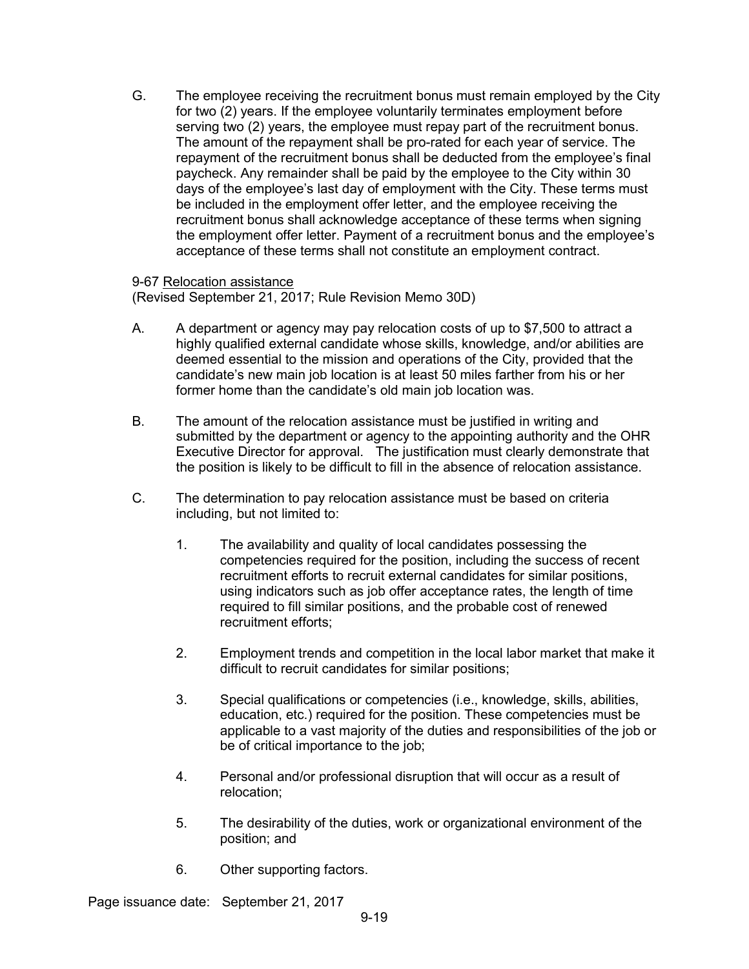G. The employee receiving the recruitment bonus must remain employed by the City for two (2) years. If the employee voluntarily terminates employment before serving two (2) years, the employee must repay part of the recruitment bonus. The amount of the repayment shall be pro-rated for each year of service. The repayment of the recruitment bonus shall be deducted from the employee's final paycheck. Any remainder shall be paid by the employee to the City within 30 days of the employee's last day of employment with the City. These terms must be included in the employment offer letter, and the employee receiving the recruitment bonus shall acknowledge acceptance of these terms when signing the employment offer letter. Payment of a recruitment bonus and the employee's acceptance of these terms shall not constitute an employment contract.

#### 9-67 Relocation assistance

(Revised September 21, 2017; Rule Revision Memo 30D)

- A. A department or agency may pay relocation costs of up to \$7,500 to attract a highly qualified external candidate whose skills, knowledge, and/or abilities are deemed essential to the mission and operations of the City, provided that the candidate's new main job location is at least 50 miles farther from his or her former home than the candidate's old main job location was.
- B. The amount of the relocation assistance must be justified in writing and submitted by the department or agency to the appointing authority and the OHR Executive Director for approval. The justification must clearly demonstrate that the position is likely to be difficult to fill in the absence of relocation assistance.
- C. The determination to pay relocation assistance must be based on criteria including, but not limited to:
	- 1. The availability and quality of local candidates possessing the competencies required for the position, including the success of recent recruitment efforts to recruit external candidates for similar positions, using indicators such as job offer acceptance rates, the length of time required to fill similar positions, and the probable cost of renewed recruitment efforts;
	- 2. Employment trends and competition in the local labor market that make it difficult to recruit candidates for similar positions;
	- 3. Special qualifications or competencies (i.e., knowledge, skills, abilities, education, etc.) required for the position. These competencies must be applicable to a vast majority of the duties and responsibilities of the job or be of critical importance to the job;
	- 4. Personal and/or professional disruption that will occur as a result of relocation;
	- 5. The desirability of the duties, work or organizational environment of the position; and
	- 6. Other supporting factors.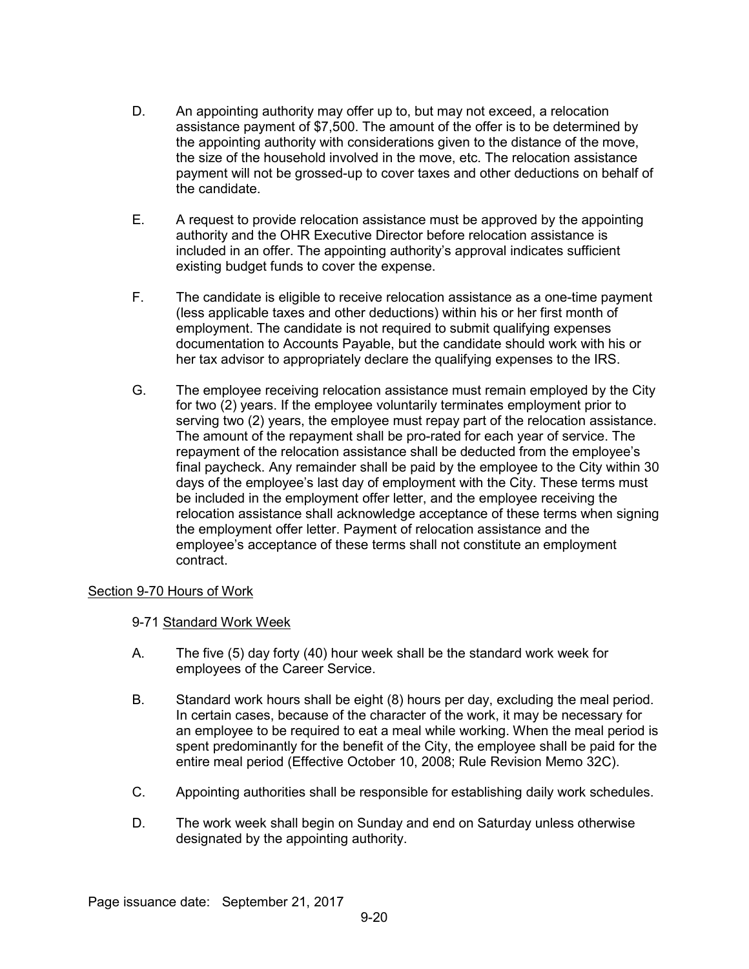- D. An appointing authority may offer up to, but may not exceed, a relocation assistance payment of \$7,500. The amount of the offer is to be determined by the appointing authority with considerations given to the distance of the move, the size of the household involved in the move, etc. The relocation assistance payment will not be grossed-up to cover taxes and other deductions on behalf of the candidate.
- E. A request to provide relocation assistance must be approved by the appointing authority and the OHR Executive Director before relocation assistance is included in an offer. The appointing authority's approval indicates sufficient existing budget funds to cover the expense.
- F. The candidate is eligible to receive relocation assistance as a one-time payment (less applicable taxes and other deductions) within his or her first month of employment. The candidate is not required to submit qualifying expenses documentation to Accounts Payable, but the candidate should work with his or her tax advisor to appropriately declare the qualifying expenses to the IRS.
- G. The employee receiving relocation assistance must remain employed by the City for two (2) years. If the employee voluntarily terminates employment prior to serving two (2) years, the employee must repay part of the relocation assistance. The amount of the repayment shall be pro-rated for each year of service. The repayment of the relocation assistance shall be deducted from the employee's final paycheck. Any remainder shall be paid by the employee to the City within 30 days of the employee's last day of employment with the City. These terms must be included in the employment offer letter, and the employee receiving the relocation assistance shall acknowledge acceptance of these terms when signing the employment offer letter. Payment of relocation assistance and the employee's acceptance of these terms shall not constitute an employment contract.

# Section 9-70 Hours of Work

# 9-71 Standard Work Week

- A. The five (5) day forty (40) hour week shall be the standard work week for employees of the Career Service.
- B. Standard work hours shall be eight (8) hours per day, excluding the meal period. In certain cases, because of the character of the work, it may be necessary for an employee to be required to eat a meal while working. When the meal period is spent predominantly for the benefit of the City, the employee shall be paid for the entire meal period (Effective October 10, 2008; Rule Revision Memo 32C).
- C. Appointing authorities shall be responsible for establishing daily work schedules.
- D. The work week shall begin on Sunday and end on Saturday unless otherwise designated by the appointing authority.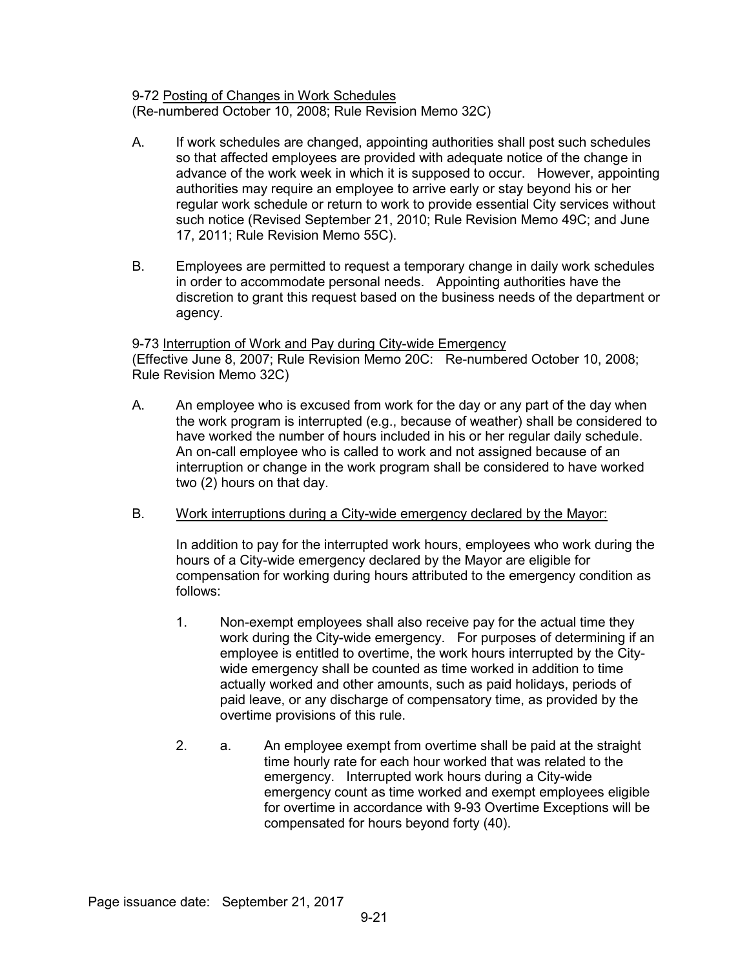#### 9-72 Posting of Changes in Work Schedules (Re-numbered October 10, 2008; Rule Revision Memo 32C)

- A. If work schedules are changed, appointing authorities shall post such schedules so that affected employees are provided with adequate notice of the change in advance of the work week in which it is supposed to occur. However, appointing authorities may require an employee to arrive early or stay beyond his or her regular work schedule or return to work to provide essential City services without such notice (Revised September 21, 2010; Rule Revision Memo 49C; and June 17, 2011; Rule Revision Memo 55C).
- B. Employees are permitted to request a temporary change in daily work schedules in order to accommodate personal needs. Appointing authorities have the discretion to grant this request based on the business needs of the department or agency.

9-73 Interruption of Work and Pay during City-wide Emergency (Effective June 8, 2007; Rule Revision Memo 20C: Re-numbered October 10, 2008; Rule Revision Memo 32C)

- A. An employee who is excused from work for the day or any part of the day when the work program is interrupted (e.g., because of weather) shall be considered to have worked the number of hours included in his or her regular daily schedule. An on-call employee who is called to work and not assigned because of an interruption or change in the work program shall be considered to have worked two (2) hours on that day.
- B. Work interruptions during a City-wide emergency declared by the Mayor:

In addition to pay for the interrupted work hours, employees who work during the hours of a City-wide emergency declared by the Mayor are eligible for compensation for working during hours attributed to the emergency condition as follows:

- 1. Non-exempt employees shall also receive pay for the actual time they work during the City-wide emergency. For purposes of determining if an employee is entitled to overtime, the work hours interrupted by the Citywide emergency shall be counted as time worked in addition to time actually worked and other amounts, such as paid holidays, periods of paid leave, or any discharge of compensatory time, as provided by the overtime provisions of this rule.
- 2. a. An employee exempt from overtime shall be paid at the straight time hourly rate for each hour worked that was related to the emergency. Interrupted work hours during a City-wide emergency count as time worked and exempt employees eligible for overtime in accordance with 9-93 Overtime Exceptions will be compensated for hours beyond forty (40).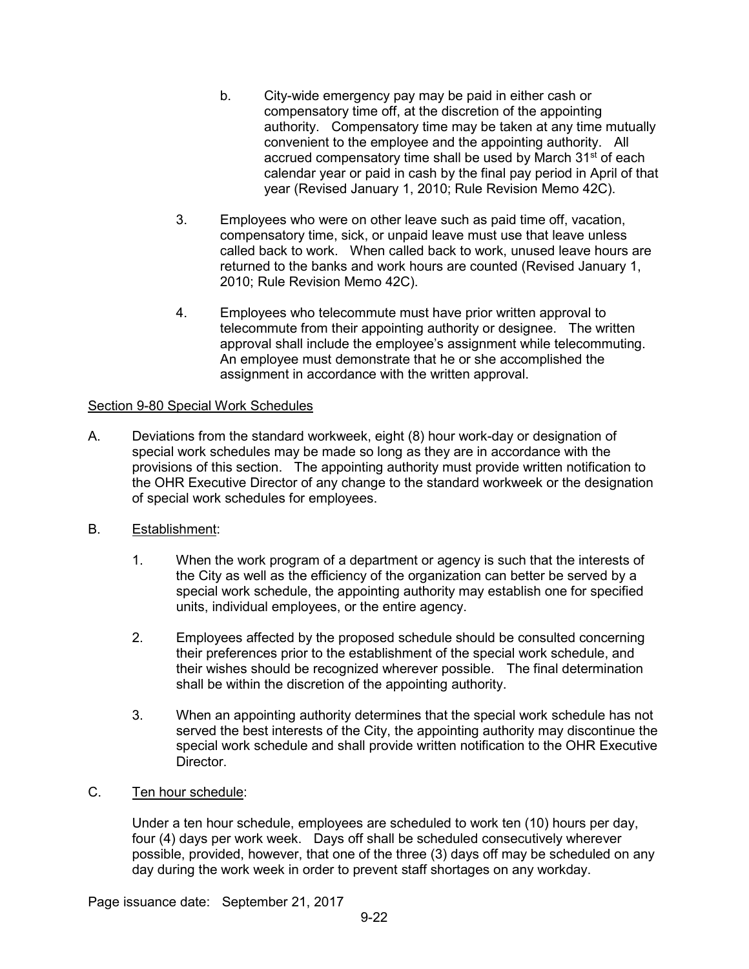- b. City-wide emergency pay may be paid in either cash or compensatory time off, at the discretion of the appointing authority. Compensatory time may be taken at any time mutually convenient to the employee and the appointing authority. All accrued compensatory time shall be used by March 31<sup>st</sup> of each calendar year or paid in cash by the final pay period in April of that year (Revised January 1, 2010; Rule Revision Memo 42C).
- 3. Employees who were on other leave such as paid time off, vacation, compensatory time, sick, or unpaid leave must use that leave unless called back to work. When called back to work, unused leave hours are returned to the banks and work hours are counted (Revised January 1, 2010; Rule Revision Memo 42C).
- 4. Employees who telecommute must have prior written approval to telecommute from their appointing authority or designee. The written approval shall include the employee's assignment while telecommuting. An employee must demonstrate that he or she accomplished the assignment in accordance with the written approval.

# Section 9-80 Special Work Schedules

- A. Deviations from the standard workweek, eight (8) hour work-day or designation of special work schedules may be made so long as they are in accordance with the provisions of this section. The appointing authority must provide written notification to the OHR Executive Director of any change to the standard workweek or the designation of special work schedules for employees.
- B. Establishment:
	- 1. When the work program of a department or agency is such that the interests of the City as well as the efficiency of the organization can better be served by a special work schedule, the appointing authority may establish one for specified units, individual employees, or the entire agency.
	- 2. Employees affected by the proposed schedule should be consulted concerning their preferences prior to the establishment of the special work schedule, and their wishes should be recognized wherever possible. The final determination shall be within the discretion of the appointing authority.
	- 3. When an appointing authority determines that the special work schedule has not served the best interests of the City, the appointing authority may discontinue the special work schedule and shall provide written notification to the OHR Executive Director.
- C. Ten hour schedule:

Under a ten hour schedule, employees are scheduled to work ten (10) hours per day, four (4) days per work week. Days off shall be scheduled consecutively wherever possible, provided, however, that one of the three (3) days off may be scheduled on any day during the work week in order to prevent staff shortages on any workday.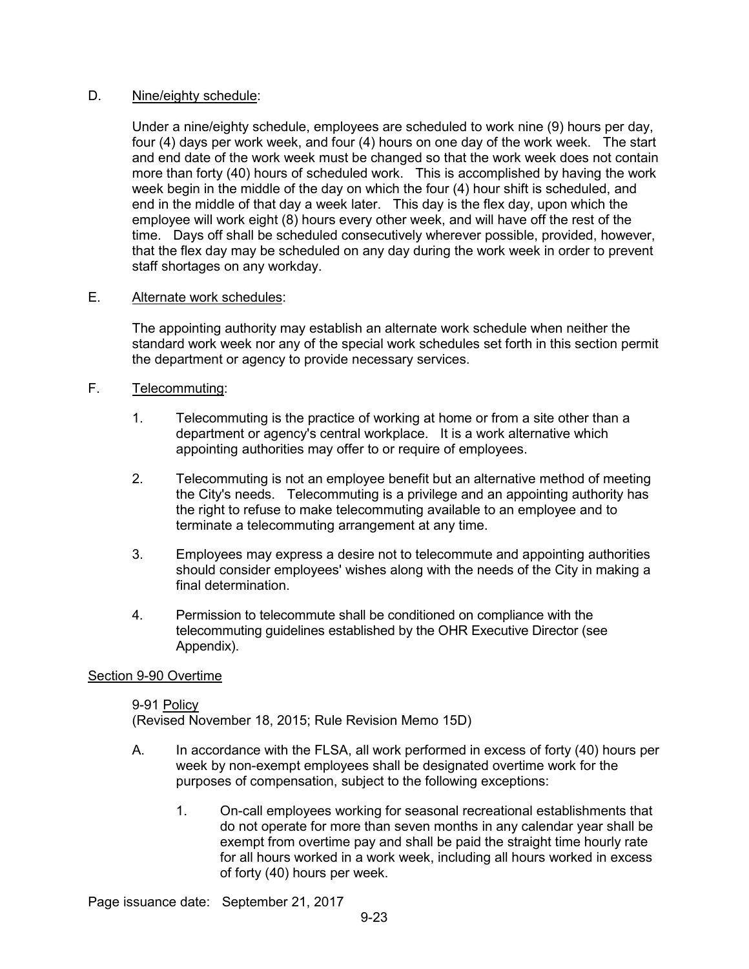#### D. Nine/eighty schedule:

Under a nine/eighty schedule, employees are scheduled to work nine (9) hours per day, four (4) days per work week, and four (4) hours on one day of the work week. The start and end date of the work week must be changed so that the work week does not contain more than forty (40) hours of scheduled work. This is accomplished by having the work week begin in the middle of the day on which the four (4) hour shift is scheduled, and end in the middle of that day a week later. This day is the flex day, upon which the employee will work eight (8) hours every other week, and will have off the rest of the time. Days off shall be scheduled consecutively wherever possible, provided, however, that the flex day may be scheduled on any day during the work week in order to prevent staff shortages on any workday.

# E. Alternate work schedules:

The appointing authority may establish an alternate work schedule when neither the standard work week nor any of the special work schedules set forth in this section permit the department or agency to provide necessary services.

# F. Telecommuting:

- 1. Telecommuting is the practice of working at home or from a site other than a department or agency's central workplace. It is a work alternative which appointing authorities may offer to or require of employees.
- 2. Telecommuting is not an employee benefit but an alternative method of meeting the City's needs. Telecommuting is a privilege and an appointing authority has the right to refuse to make telecommuting available to an employee and to terminate a telecommuting arrangement at any time.
- 3. Employees may express a desire not to telecommute and appointing authorities should consider employees' wishes along with the needs of the City in making a final determination.
- 4. Permission to telecommute shall be conditioned on compliance with the telecommuting guidelines established by the OHR Executive Director (see Appendix).

# Section 9-90 Overtime

9-91 Policy (Revised November 18, 2015; Rule Revision Memo 15D)

- A. In accordance with the FLSA, all work performed in excess of forty (40) hours per week by non-exempt employees shall be designated overtime work for the purposes of compensation, subject to the following exceptions:
	- 1. On-call employees working for seasonal recreational establishments that do not operate for more than seven months in any calendar year shall be exempt from overtime pay and shall be paid the straight time hourly rate for all hours worked in a work week, including all hours worked in excess of forty (40) hours per week.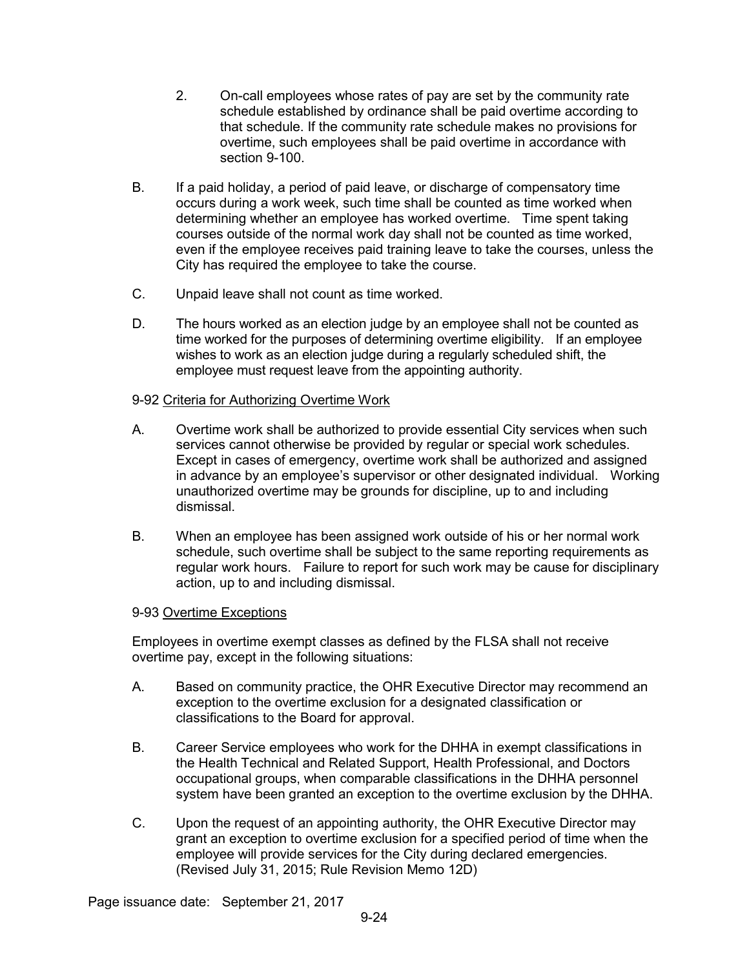- 2. On-call employees whose rates of pay are set by the community rate schedule established by ordinance shall be paid overtime according to that schedule. If the community rate schedule makes no provisions for overtime, such employees shall be paid overtime in accordance with section 9-100.
- B. If a paid holiday, a period of paid leave, or discharge of compensatory time occurs during a work week, such time shall be counted as time worked when determining whether an employee has worked overtime. Time spent taking courses outside of the normal work day shall not be counted as time worked, even if the employee receives paid training leave to take the courses, unless the City has required the employee to take the course.
- C. Unpaid leave shall not count as time worked.
- D. The hours worked as an election judge by an employee shall not be counted as time worked for the purposes of determining overtime eligibility. If an employee wishes to work as an election judge during a regularly scheduled shift, the employee must request leave from the appointing authority.

# 9-92 Criteria for Authorizing Overtime Work

- A. Overtime work shall be authorized to provide essential City services when such services cannot otherwise be provided by regular or special work schedules. Except in cases of emergency, overtime work shall be authorized and assigned in advance by an employee's supervisor or other designated individual. Working unauthorized overtime may be grounds for discipline, up to and including dismissal.
- B. When an employee has been assigned work outside of his or her normal work schedule, such overtime shall be subject to the same reporting requirements as regular work hours. Failure to report for such work may be cause for disciplinary action, up to and including dismissal.

# 9-93 Overtime Exceptions

Employees in overtime exempt classes as defined by the FLSA shall not receive overtime pay, except in the following situations:

- A. Based on community practice, the OHR Executive Director may recommend an exception to the overtime exclusion for a designated classification or classifications to the Board for approval.
- B. Career Service employees who work for the DHHA in exempt classifications in the Health Technical and Related Support, Health Professional, and Doctors occupational groups, when comparable classifications in the DHHA personnel system have been granted an exception to the overtime exclusion by the DHHA.
- C. Upon the request of an appointing authority, the OHR Executive Director may grant an exception to overtime exclusion for a specified period of time when the employee will provide services for the City during declared emergencies. (Revised July 31, 2015; Rule Revision Memo 12D)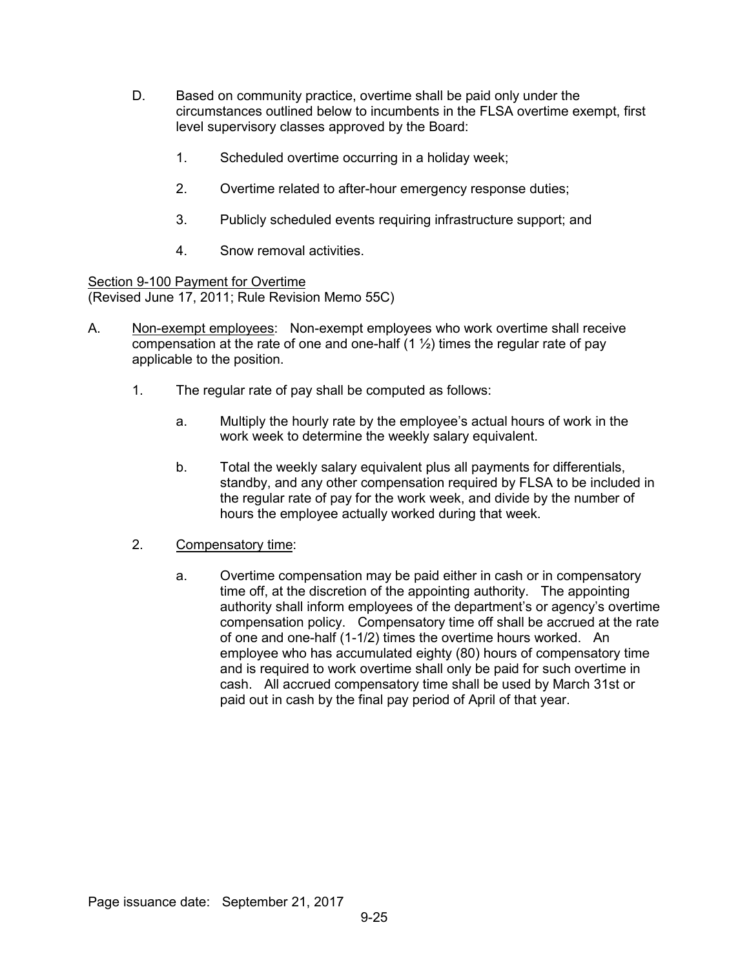- D. Based on community practice, overtime shall be paid only under the circumstances outlined below to incumbents in the FLSA overtime exempt, first level supervisory classes approved by the Board:
	- 1. Scheduled overtime occurring in a holiday week;
	- 2. Overtime related to after-hour emergency response duties;
	- 3. Publicly scheduled events requiring infrastructure support; and
	- 4. Snow removal activities.

Section 9-100 Payment for Overtime (Revised June 17, 2011; Rule Revision Memo 55C)

- A. Non-exempt employees: Non-exempt employees who work overtime shall receive compensation at the rate of one and one-half  $(1 \frac{1}{2})$  times the regular rate of pay applicable to the position.
	- 1. The regular rate of pay shall be computed as follows:
		- a. Multiply the hourly rate by the employee's actual hours of work in the work week to determine the weekly salary equivalent.
		- b. Total the weekly salary equivalent plus all payments for differentials, standby, and any other compensation required by FLSA to be included in the regular rate of pay for the work week, and divide by the number of hours the employee actually worked during that week.
	- 2. Compensatory time:
		- a. Overtime compensation may be paid either in cash or in compensatory time off, at the discretion of the appointing authority. The appointing authority shall inform employees of the department's or agency's overtime compensation policy. Compensatory time off shall be accrued at the rate of one and one-half (1-1/2) times the overtime hours worked. An employee who has accumulated eighty (80) hours of compensatory time and is required to work overtime shall only be paid for such overtime in cash. All accrued compensatory time shall be used by March 31st or paid out in cash by the final pay period of April of that year.